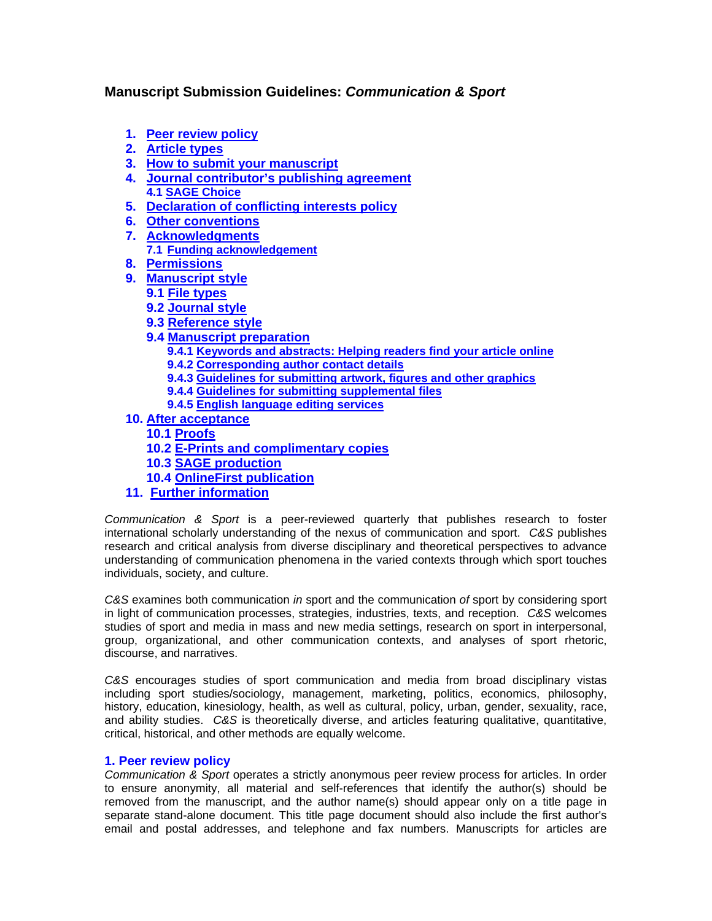# <span id="page-0-1"></span>**Manuscript Submission Guidelines:** *Communication & Sport*

- **1. [Peer review policy](#page-0-0)**
- **2. [Article types](#page-1-0)**
- **3. [How to submit your manuscript](#page-1-1)**
- **4. [Journal contributor's publishing agreement](#page-1-2) 4.1 SAGE Choice**
- **5. [Declaration of conflicting interests policy](#page-2-0)**
- **6. Other conventions**
- **7. [Acknowledgments](#page-2-1)**
	- **7.1 [Funding acknowledgement](#page-2-2)**
- **8. [Permissions](#page-2-3)**
- **9. [Manuscript style](#page-2-4)**
	- **9.1 [File types](#page-3-0)**
	- **9.2 [Journal style](#page-3-1)**
	- **9.3 [Reference style](#page-3-2)**
	- **9.4 [Manuscript preparation](#page-3-3)**
		- **9.4.1 [Keywords and abstracts: Helping readers find your article online](#page-3-4)**
		- **9.4.2 [Corresponding author contact details](#page-3-5)**
		- **9.4.3 [Guidelines for submitting artwork, figures and other graphics](#page-3-6)**
		- **9.4.4 [Guidelines for submitting supplemental files](#page-3-7)**
		- **9.4.5 [English language editing services](#page-3-8)**
- **10. [After acceptance](#page-3-9)**
	- **10.1 [Proofs](#page-4-0)**
	- **10.2 [E-Prints and complimentary copies](#page-4-1)**
	- **10.3 [SAGE production](#page-4-2)**
	- **10.4 [OnlineFirst publication](#page-4-3)**
- **11. [Further information](#page-4-4)**

<span id="page-0-0"></span>*Communication & Sport* is a peer-reviewed quarterly that publishes research to foster international scholarly understanding of the nexus of communication and sport. *C&S* publishes research and critical analysis from diverse disciplinary and theoretical perspectives to advance understanding of communication phenomena in the varied contexts through which sport touches individuals, society, and culture.

*C&S* examines both communication *in* sport and the communication *of* sport by considering sport in light of communication processes, strategies, industries, texts, and reception. *C&S* welcomes studies of sport and media in mass and new media settings, research on sport in interpersonal, group, organizational, and other communication contexts, and analyses of sport rhetoric, discourse, and narratives.

*C&S* encourages studies of sport communication and media from broad disciplinary vistas including sport studies/sociology, management, marketing, politics, economics, philosophy, history, education, kinesiology, health, as well as cultural, policy, urban, gender, sexuality, race, and ability studies. *C&S* is theoretically diverse, and articles featuring qualitative, quantitative, critical, historical, and other methods are equally welcome.

# **1. Peer review policy**

*Communication & Sport* operates a strictly anonymous peer review process for articles. In order to ensure anonymity, all material and self-references that identify the author(s) should be removed from the manuscript, and the author name(s) should appear only on a title page in separate stand-alone document. This title page document should also include the first author's email and postal addresses, and telephone and fax numbers. Manuscripts for articles are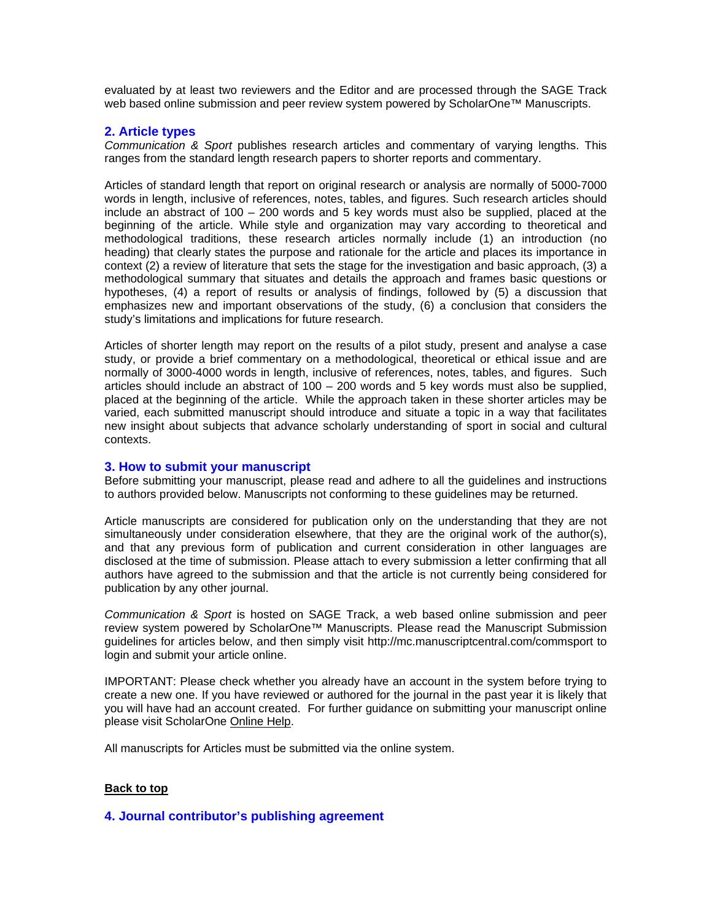<span id="page-1-0"></span>evaluated by at least two reviewers and the Editor and are processed through the SAGE Track web based online submission and peer review system powered by ScholarOne™ Manuscripts.

## **2. Article types**

<span id="page-1-1"></span>*Communication & Sport* publishes research articles and commentary of varying lengths. This ranges from the standard length research papers to shorter reports and commentary.

Articles of standard length that report on original research or analysis are normally of 5000-7000 words in length, inclusive of references, notes, tables, and figures. Such research articles should include an abstract of 100 – 200 words and 5 key words must also be supplied, placed at the beginning of the article. While style and organization may vary according to theoretical and methodological traditions, these research articles normally include (1) an introduction (no heading) that clearly states the purpose and rationale for the article and places its importance in context (2) a review of literature that sets the stage for the investigation and basic approach, (3) a methodological summary that situates and details the approach and frames basic questions or hypotheses, (4) a report of results or analysis of findings, followed by (5) a discussion that emphasizes new and important observations of the study, (6) a conclusion that considers the study's limitations and implications for future research.

Articles of shorter length may report on the results of a pilot study, present and analyse a case study, or provide a brief commentary on a methodological, theoretical or ethical issue and are normally of 3000-4000 words in length, inclusive of references, notes, tables, and figures. Such articles should include an abstract of 100 – 200 words and 5 key words must also be supplied, placed at the beginning of the article. While the approach taken in these shorter articles may be varied, each submitted manuscript should introduce and situate a topic in a way that facilitates new insight about subjects that advance scholarly understanding of sport in social and cultural contexts.

# **3. How to submit your manuscript**

Before submitting your manuscript, please read and adhere to all the guidelines and instructions to authors provided below. Manuscripts not conforming to these guidelines may be returned.

Article manuscripts are considered for publication only on the understanding that they are not simultaneously under consideration elsewhere, that they are the original work of the author(s), and that any previous form of publication and current consideration in other languages are disclosed at the time of submission. Please attach to every submission a letter confirming that all authors have agreed to the submission and that the article is not currently being considered for publication by any other journal.

*Communication & Sport* is hosted on SAGE Track, a web based online submission and peer review system powered by ScholarOne™ Manuscripts. Please read the Manuscript Submission guidelines for articles below, and then simply visit http://mc.manuscriptcentral.com/commsport to login and submit your article online.

IMPORTANT: Please check whether you already have an account in the system before trying to create a new one. If you have reviewed or authored for the journal in the past year it is likely that you will have had an account created. For further guidance on submitting your manuscript online please visit ScholarOne [Online Help.](http://mchelp.manuscriptcentral.com/gethelpnow/index.html)

All manuscripts for Articles must be submitted via the online system.

## <span id="page-1-2"></span>**[Back to top](#page-0-1)**

## **4. Journal contributor's publishing agreement**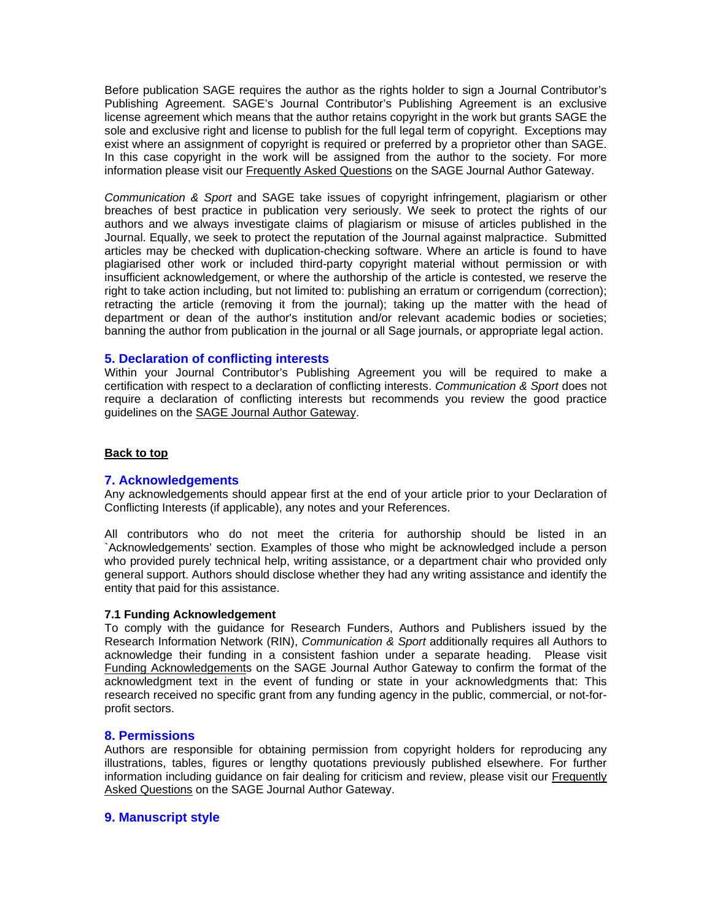Before publication SAGE requires the author as the rights holder to sign a Journal Contributor's Publishing Agreement. SAGE's Journal Contributor's Publishing Agreement is an exclusive license agreement which means that the author retains copyright in the work but grants SAGE the sole and exclusive right and license to publish for the full legal term of copyright. Exceptions may exist where an assignment of copyright is required or preferred by a proprietor other than SAGE. In this case copyright in the work will be assigned from the author to the society. For more information please visit our [Frequently Asked Questions](http://www.sagepub.com/journalgateway/authorFAQs.htm) on the SAGE Journal Author Gateway.

*Communication & Sport* and SAGE take issues of copyright infringement, plagiarism or other breaches of best practice in publication very seriously. We seek to protect the rights of our authors and we always investigate claims of plagiarism or misuse of articles published in the Journal. Equally, we seek to protect the reputation of the Journal against malpractice. Submitted articles may be checked with duplication-checking software. Where an article is found to have plagiarised other work or included third-party copyright material without permission or with insufficient acknowledgement, or where the authorship of the article is contested, we reserve the right to take action including, but not limited to: publishing an erratum or corrigendum (correction); retracting the article (removing it from the journal); taking up the matter with the head of department or dean of the author's institution and/or relevant academic bodies or societies; banning the author from publication in the journal or all Sage journals, or appropriate legal action.

# <span id="page-2-0"></span>**5. Declaration of conflicting interests**

Within your Journal Contributor's Publishing Agreement you will be required to make a certification with respect to a declaration of conflicting interests. *Communication & Sport* does not require a declaration of conflicting interests but recommends you review the good practice guidelines on the [SAGE Journal Author Gateway.](http://www.sagepub.com/journalgateway/pubPolicies.htm)

## <span id="page-2-1"></span>**[Back to top](#page-0-1)**

## **7. Acknowledgements**

Any acknowledgements should appear first at the end of your article prior to your Declaration of Conflicting Interests (if applicable), any notes and your References.

All contributors who do not meet the criteria for authorship should be listed in an `Acknowledgements' section. Examples of those who might be acknowledged include a person who provided purely technical help, writing assistance, or a department chair who provided only general support. Authors should disclose whether they had any writing assistance and identify the entity that paid for this assistance.

#### <span id="page-2-2"></span>**7.1 Funding Acknowledgement**

To comply with the guidance for Research Funders, Authors and Publishers issued by the Research Information Network (RIN), *Communication & Sport* additionally requires all Authors to acknowledge their funding in a consistent fashion under a separate heading. Please visit [Funding Acknowledgements](http://www.uk.sagepub.com/authors/journal/funding.sp) on the SAGE Journal Author Gateway to confirm the format of the acknowledgment text in the event of funding or state in your acknowledgments that: This research received no specific grant from any funding agency in the public, commercial, or not-forprofit sectors.

## <span id="page-2-3"></span>**8. Permissions**

Authors are responsible for obtaining permission from copyright holders for reproducing any illustrations, tables, figures or lengthy quotations previously published elsewhere. For further information including guidance on fair dealing for criticism and review, please visit our [Frequently](http://www.sagepub.com/journalgateway/authorFAQs.htm)  [Asked Questions](http://www.sagepub.com/journalgateway/authorFAQs.htm) on the SAGE Journal Author Gateway.

## <span id="page-2-4"></span>**9. Manuscript style**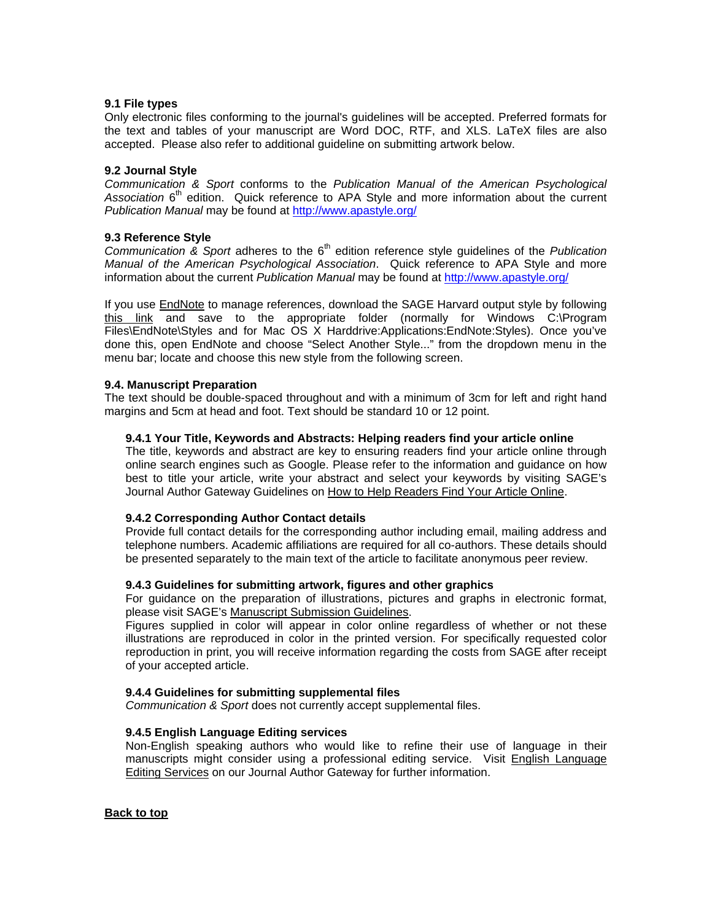### <span id="page-3-0"></span>**9.1 File types**

Only electronic files conforming to the journal's guidelines will be accepted. Preferred formats for the text and tables of your manuscript are Word DOC, RTF, and XLS. LaTeX files are also accepted. Please also refer to additional guideline on submitting artwork below.

### <span id="page-3-1"></span>**9.2 Journal Style**

*Communication & Sport* conforms to the *Publication Manual of the American Psychological*  Association 6<sup>th</sup> edition. Quick reference to APA Style and more information about the current *Publication Manual* may be found at<http://www.apastyle.org/>

#### <span id="page-3-2"></span>**9.3 Reference Style**

*Communication & Sport* adheres to the 6<sup>th</sup> edition reference style quidelines of the *Publication Manual of the American Psychological Association*. Quick reference to APA Style and more information about the current *Publication Manual* may be found at<http://www.apastyle.org/>

If you use [EndNote](http://www.endnote.com/) to manage references, download the SAGE Harvard output style by following [this link](http://www.endnote.com/support/enstyledetail.asp?SORT=2&PAGE=1&METH=0&DISC=none&JOUR=sage&BSRT=none&FF1=none&FF2=none&FF3=none&CITE=none&DKEY=64201050550DBA) and save to the appropriate folder (normally for Windows C:\Program Files\EndNote\Styles and for Mac OS X Harddrive:Applications:EndNote:Styles). Once you've done this, open EndNote and choose "Select Another Style..." from the dropdown menu in the menu bar; locate and choose this new style from the following screen.

#### <span id="page-3-3"></span>**9.4. Manuscript Preparation**

The text should be double-spaced throughout and with a minimum of 3cm for left and right hand margins and 5cm at head and foot. Text should be standard 10 or 12 point.

#### <span id="page-3-4"></span>**9.4.1 Your Title, Keywords and Abstracts: Helping readers find your article online**

The title, keywords and abstract are key to ensuring readers find your article online through online search engines such as Google. Please refer to the information and guidance on how best to title your article, write your abstract and select your keywords by visiting SAGE's Journal Author Gateway Guidelines on [How to Help Readers Find Your Article Online.](http://www.sagepub.com/journalgateway/findArticle.htm)

## <span id="page-3-5"></span>**9.4.2 Corresponding Author Contact details**

Provide full contact details for the corresponding author including email, mailing address and telephone numbers. Academic affiliations are required for all co-authors. These details should be presented separately to the main text of the article to facilitate anonymous peer review.

## <span id="page-3-6"></span>**9.4.3 Guidelines for submitting artwork, figures and other graphics**

For guidance on the preparation of illustrations, pictures and graphs in electronic format, please visit SAGE's [Manuscript Submission Guidelines.](http://www.sagepub.com/journalgateway/msg.htm)

Figures supplied in color will appear in color online regardless of whether or not these illustrations are reproduced in color in the printed version. For specifically requested color reproduction in print, you will receive information regarding the costs from SAGE after receipt of your accepted article.

## <span id="page-3-7"></span>**9.4.4 Guidelines for submitting supplemental files**

*Communication & Sport* does not currently accept supplemental files.

## <span id="page-3-8"></span>**9.4.5 English Language Editing services**

Non-English speaking authors who would like to refine their use of language in their manuscripts might consider using a professional editing service. Visit [English Language](http://www.sagepub.com/journalgateway/engLang.htm)  [Editing Services](http://www.sagepub.com/journalgateway/engLang.htm) on our Journal Author Gateway for further information.

#### <span id="page-3-9"></span>**[Back to top](#page-0-1)**